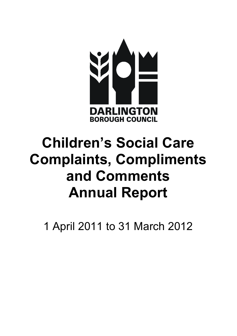

# Children's Social Care Complaints, Compliments and Comments Annual Report

1 April 2011 to 31 March 2012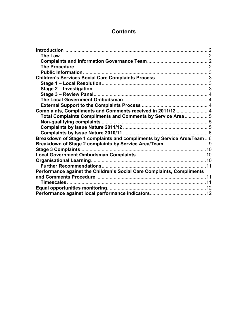# **Contents**

| Complaints, Compliments and Comments received in 2011/12 4             |  |
|------------------------------------------------------------------------|--|
| Total Complaints Compliments and Comments by Service Area5             |  |
|                                                                        |  |
|                                                                        |  |
|                                                                        |  |
| Breakdown of Stage 1 complaints and compliments by Service Area/Team6  |  |
|                                                                        |  |
|                                                                        |  |
|                                                                        |  |
|                                                                        |  |
|                                                                        |  |
| Performance against the Children's Social Care Complaints, Compliments |  |
|                                                                        |  |
| Timescales                                                             |  |
|                                                                        |  |
|                                                                        |  |
|                                                                        |  |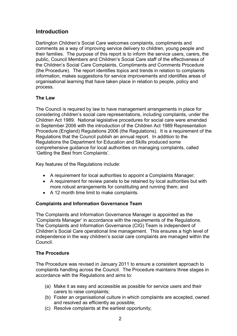# **Introduction**

Darlington Children's Social Care welcomes complaints, compliments and comments as a way of improving service delivery to children, young people and their families. The purpose of this report is to inform the service users, carers, the public, Council Members and Children's Social Care staff of the effectiveness of the Children's Social Care Complaints, Compliments and Comments Procedure (the Procedure). The report identifies topics and trends in relation to complaints information, makes suggestions for service improvements and identifies areas of organisational learning that have taken place in relation to people, policy and process.

## The Law

The Council is required by law to have management arrangements in place for considering children's social care representations, including complaints, under the Children Act 1989. National legislative procedures for social care were amended in September 2006 with the introduction of the Children Act 1989 Representation Procedure (England) Regulations 2006 (the Regulations). It is a requirement of the Regulations that the Council publish an annual report. In addition to the Regulations the Department for Education and Skills produced some comprehensive guidance for local authorities on managing complaints, called 'Getting the Best from Complaints'.

Key features of the Regulations include:

- A requirement for local authorities to appoint a Complaints Manager;
- A requirement for review panels to be retained by local authorities but with more robust arrangements for constituting and running them; and
- A 12 month time limit to make complaints.

## Complaints and Information Governance Team

The Complaints and Information Governance Manager is appointed as the 'Complaints Manager' in accordance with the requirements of the Regulations. The Complaints and Information Governance (CIG) Team is independent of Children's Social Care operational line management. This ensures a high level of independence in the way children's social care complaints are managed within the Council.

## The Procedure

The Procedure was revised in January 2011 to ensure a consistent approach to complaints handling across the Council. The Procedure maintains three stages in accordance with the Regulations and aims to:

- (a) Make it as easy and accessible as possible for service users and their carers to raise complaints;
- (b) Foster an organisational culture in which complaints are accepted, owned and resolved as efficiently as possible;
- (c) Resolve complaints at the earliest opportunity;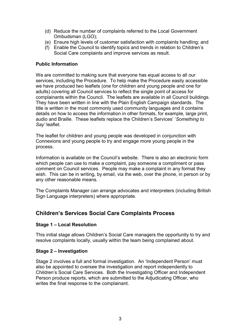- (d) Reduce the number of complaints referred to the Local Government Ombudsman (LGO);
- (e) Ensure high levels of customer satisfaction with complaints handling; and
- (f) Enable the Council to identify topics and trends in relation to Children's Social Care complaints and improve services as result.

#### Public Information

We are committed to making sure that everyone has equal access to all our services, including the Procedure. To help make the Procedure easily accessible we have produced two leaflets (one for children and young people and one for adults) covering all Council services to reflect the single point of access for complainants within the Council. The leaflets are available in all Council buildings. They have been written in line with the Plain English Campaign standards. The title is written in the most commonly used community languages and it contains details on how to access the information in other formats, for example, large print, audio and Braille. These leaflets replace the Children's Services' 'Something to Say' leaflet.

The leaflet for children and young people was developed in conjunction with Connexions and young people to try and engage more young people in the process.

Information is available on the Council's website. There is also an electronic form which people can use to make a complaint, pay someone a compliment or pass comment on Council services. People may make a complaint in any format they wish. This can be in writing, by email, via the web, over the phone, in person or by any other reasonable means.

The Complaints Manager can arrange advocates and interpreters (including British Sign Language interpreters) where appropriate.

# Children's Services Social Care Complaints Process

## Stage 1 – Local Resolution

This initial stage allows Children's Social Care managers the opportunity to try and resolve complaints locally, usually within the team being complained about.

#### Stage 2 – Investigation

Stage 2 involves a full and formal investigation. An 'Independent Person' must also be appointed to oversee the investigation and report independently to Children's Social Care Services. Both the Investigating Officer and Independent Person produce reports, which are submitted to the Adjudicating Officer, who writes the final response to the complainant.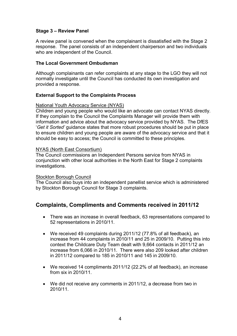## Stage 3 – Review Panel

A review panel is convened when the complainant is dissatisfied with the Stage 2 response. The panel consists of an independent chairperson and two individuals who are independent of the Council.

#### The Local Government Ombudsman

Although complainants can refer complaints at any stage to the LGO they will not normally investigate until the Council has conducted its own investigation and provided a response.

#### External Support to the Complaints Process

#### National Youth Advocacy Service (NYAS)

Children and young people who would like an advocate can contact NYAS directly. If they complain to the Council the Complaints Manager will provide them with information and advice about the advocacy service provided by NYAS. The DfES 'Get it Sorted' guidance states that more robust procedures should be put in place to ensure children and young people are aware of the advocacy service and that it should be easy to access; the Council is committed to these principles.

#### NYAS (North East Consortium)

The Council commissions an Independent Persons service from NYAS in conjunction with other local authorities in the North East for Stage 2 complaints investigations.

#### Stockton Borough Council

The Council also buys into an independent panellist service which is administered by Stockton Borough Council for Stage 3 complaints.

# Complaints, Compliments and Comments received in 2011/12

- There was an increase in overall feedback, 63 representations compared to 52 representations in 2010/11.
- We received 49 complaints during 2011/12 (77.8% of all feedback), an increase from 44 complaints in 2010/11 and 25 in 2009/10. Putting this into context the Childcare Duty Team dealt with 9,664 contacts in 2011/12 an increase from 6,066 in 2010/11. There were also 209 looked after children in 2011/12 compared to 185 in 2010/11 and 145 in 2009/10.
- We received 14 compliments 2011/12 (22.2% of all feedback), an increase from six in 2010/11.
- We did not receive any comments in 2011/12, a decrease from two in 2010/11.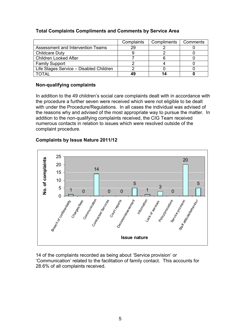## Total Complaints Compliments and Comments by Service Area

|                                         | Complaints | Compliments | Comments |
|-----------------------------------------|------------|-------------|----------|
| Assessment and Intervention Teams       | 29         |             |          |
| <b>Childcare Duty</b>                   |            |             |          |
| <b>Children Looked After</b>            |            |             |          |
| <b>Family Support</b>                   |            |             |          |
| Life Stages Service - Disabled Children |            |             |          |
| ΤΩΤΑΙ                                   | 49         |             |          |

#### Non-qualifying complaints

In addition to the 49 children's social care complaints dealt with in accordance with the procedure a further seven were received which were not eligible to be dealt with under the Procedure/Regulations. In all cases the individual was advised of the reasons why and advised of the most appropriate way to pursue the matter. In addition to the non-qualifying complaints received, the CIG Team received numerous contacts in relation to issues which were resolved outside of the complaint procedure.

## Complaints by Issue Nature 2011/12



14 of the complaints recorded as being about 'Service provision' or 'Communication' related to the facilitation of family contact. This accounts for 28.6% of all complaints received.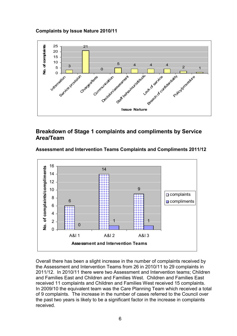Complaints by Issue Nature 2010/11



# Breakdown of Stage 1 complaints and compliments by Service Area/Team

#### Assessment and Intervention Teams Complaints and Compliments 2011/12



Overall there has been a slight increase in the number of complaints received by the Assessment and Intervention Teams from 26 in 2010/11 to 29 complaints in 2011/12. In 2010/11 there were two Assessment and Intervention teams; Children and Families East and Children and Families West. Children and Families East received 11 complaints and Children and Families West received 15 complaints. In 2009/10 the equivalent team was the Care Planning Team which received a total of 9 complaints. The increase in the number of cases referred to the Council over the past two years is likely to be a significant factor in the increase in complaints received.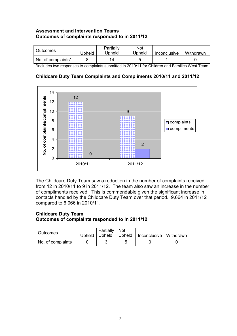## Assessment and Intervention Teams Outcomes of complaints responded to in 2011/12

| Outcomes           | Upheld | Partially<br>Jpheld | Not<br><b>Jpheld</b> | Inconclusive | Withdrawn |
|--------------------|--------|---------------------|----------------------|--------------|-----------|
| No. of complaints* |        | 14                  |                      |              |           |

\*includes two responses to complaints submitted in 2010/11 for Children and Families West Team

## Childcare Duty Team Complaints and Compliments 2010/11 and 2011/12



The Childcare Duty Team saw a reduction in the number of complaints received from 12 in 2010/11 to 9 in 2011/12. The team also saw an increase in the number of compliments received. This is commendable given the significant increase in contacts handled by the Childcare Duty Team over that period. 9,664 in 2011/12 compared to 6,066 in 2010/11.

## Childcare Duty Team Outcomes of complaints responded to in 2011/12

| <b>Outcomes</b>   | Partially   Not | Upheld   Upheld   Upheld   Inconclusive   Withdrawn |  |
|-------------------|-----------------|-----------------------------------------------------|--|
| No. of complaints |                 |                                                     |  |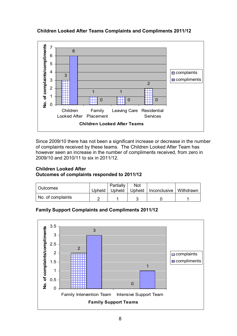## Children Looked After Teams Complaints and Compliments 2011/12



Since 2009/10 there has not been a significant increase or decrease in the number of complaints received by these teams. The Children Looked After Team has however seen an increase in the number of compliments received, from zero in 2009/10 and 2010/11 to six in 2011/12.

## Children Looked After Outcomes of complaints responded to 2011/12

| Outcomes          |          | Partially | Not |                                   |  |
|-------------------|----------|-----------|-----|-----------------------------------|--|
|                   | Upheld I | Upheld    |     | Upheld   Inconclusive   Withdrawn |  |
| No. of complaints |          |           |     |                                   |  |

# Family Support Complaints and Compliments 2011/12

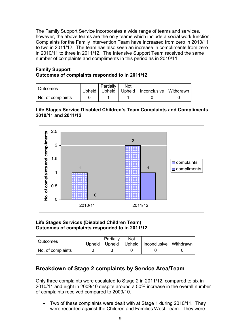The Family Support Service incorporates a wide range of teams and services, however, the above teams are the only teams which include a social work function. Complaints for the Family Intervention Team have increased from zero in 2010/11 to two in 2011/12. The team has also seen an increase in compliments from zero in 2010/11 to three in 2011/12. The Intensive Support Team received the same number of complaints and compliments in this period as in 2010/11.

#### Family Support Outcomes of complaints responded to in 2011/12

| Outcomes          |        | Partially | Not |                                   |  |
|-------------------|--------|-----------|-----|-----------------------------------|--|
|                   | Upheld | Upheld    |     | Upheld   Inconclusive   Withdrawn |  |
| No. of complaints |        |           |     |                                   |  |

#### Life Stages Service Disabled Children's Team Complaints and Compliments 2010/11 and 2011/12



#### Life Stages Services (Disabled Children Team) Outcomes of complaints responded to in 2011/12

| Outcomes          | Upheld | Partially<br>Upheld | Not | Upheld   Inconclusive   Withdrawn |  |
|-------------------|--------|---------------------|-----|-----------------------------------|--|
| No. of complaints |        |                     |     |                                   |  |

# Breakdown of Stage 2 complaints by Service Area/Team

Only three complaints were escalated to Stage 2 in 2011/12, compared to six in 2010/11 and eight in 2009/10 despite around a 50% increase in the overall number of complaints received compared to 2009/10.

• Two of these complaints were dealt with at Stage 1 during 2010/11. They were recorded against the Children and Families West Team. They were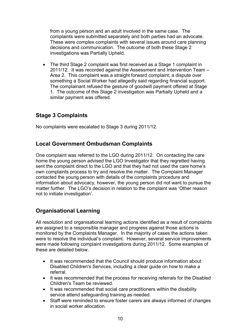from a young person and an adult involved in the same case. The complaints were submitted separately and both parties had an advocate. These were complex complaints with several issues around care planning decisions and communication. The outcome of both these Stage 2 investigations was Partially Upheld.

• The third Stage 2 complaint was first received as a Stage 1 complaint in 2011/12. It was recorded against the Assessment and Intervention Team – Area 2. This complaint was a straight forward complaint; a dispute over something a Social Worker had allegedly said regarding financial support. The complainant refused the gesture of goodwill payment offered at Stage 1. The outcome of this Stage 2 investigation was Partially Upheld and a similar payment was offered.

# Stage 3 Complaints

No complaints were escalated to Stage 3 during 2011/12.

# Local Government Ombudsman Complaints

One complaint was referred to the LGO during 2011/12. On contacting the care home the young person advised the LGO Investigator that they regretted having sent the complaint direct to the LGO and that they had not used the care home's own complaints process to try and resolve the matter. The Complaint Manager contacted the young person with details of the complaints procedure and information about advocacy, however, the young person did not want to pursue the matter further. The LGO's decision in relation to the complaint was 'Other reason not to initiate investigation'.

# Organisational Learning

All resolution and organisational learning actions identified as a result of complaints are assigned to a responsible manager and progress against those actions is monitored by the Complaints Manager. In the majority of cases the actions taken were to resolve the individual's complaint. However, several service improvements were made following complaint investigations during 2011/12. Some examples of these are detailed below.

- It was recommended that the Council should produce information about Disabled Children's Services, including a clear guide on how to make a referral.
- It was recommended that the process for receiving referrals for the Disabled Children's Team be reviewed.
- It was recommended that social care practitioners within the disability service attend safeguarding training as needed.
- Staff were reminded to ensure foster carers are always informed of changes in social worker allocation.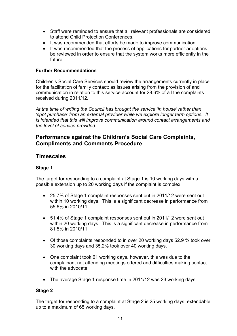- Staff were reminded to ensure that all relevant professionals are considered to attend Child Protection Conferences.
- It was recommended that efforts be made to improve communication.
- It was recommended that the process of applications for partner adoptions be reviewed in order to ensure that the system works more efficiently in the future.

#### Further Recommendations

Children's Social Care Services should review the arrangements currently in place for the facilitation of family contact; as issues arising from the provision of and communication in relation to this service account for 28.6% of all the complaints received during 2011/12.

At the time of writing the Council has brought the service 'in house' rather than 'spot purchase' from an external provider while we explore longer term options. It is intended that this will improve communication around contact arrangements and the level of service provided.

# Performance against the Children's Social Care Complaints, Compliments and Comments Procedure

## **Timescales**

#### Stage 1

The target for responding to a complaint at Stage 1 is 10 working days with a possible extension up to 20 working days if the complaint is complex.

- 25.7% of Stage 1 complaint responses sent out in 2011/12 were sent out within 10 working days. This is a significant decrease in performance from 55.6% in 2010/11.
- 51.4% of Stage 1 complaint responses sent out in 2011/12 were sent out within 20 working days. This is a significant decrease in performance from 81.5% in 2010/11.
- Of those complaints responded to in over 20 working days 52.9 % took over 30 working days and 35.2% took over 40 working days.
- One complaint took 61 working days, however, this was due to the complainant not attending meetings offered and difficulties making contact with the advocate.
- The average Stage 1 response time in 2011/12 was 23 working days.

#### Stage 2

The target for responding to a complaint at Stage 2 is 25 working days, extendable up to a maximum of 65 working days.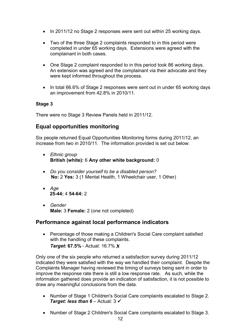- In 2011/12 no Stage 2 responses were sent out within 25 working days.
- Two of the three Stage 2 complaints responded to in this period were completed in under 65 working days. Extensions were agreed with the complainant in both cases.
- One Stage 2 complaint responded to in this period took 86 working days. An extension was agreed and the complainant via their advocate and they were kept informed throughout the process.
- In total 66.6% of Stage 2 responses were sent out in under 65 working days an improvement from 42.8% in 2010/11.

## Stage 3

There were no Stage 3 Review Panels held in 2011/12.

# Equal opportunities monitoring

Six people returned Equal Opportunities Monitoring forms during 2011/12, an increase from two in 2010/11. The information provided is set out below:

- Ethnic group British (white): 6 Any other white background: 0
- Do you consider yourself to be a disabled person? No: 2 Yes: 3 (1 Mental Health, 1 Wheelchair user, 1 Other)
- Age 25-44: 4 54-64: 2
- Gender Male: 3 Female: 2 (one not completed)

# Performance against local performance indicators

• Percentage of those making a Children's Social Care complaint satisfied with the handling of these complaints. Target: 67.5% - Actual: 16.7% X

Only one of the six people who returned a satisfaction survey during 2011/12 indicated they were satisfied with the way we handled their complaint. Despite the Complaints Manager having reviewed the timing of surveys being sent in order to improve the response rate there is still a low response rate. As such, while the information gathered does provide an indication of satisfaction, it is not possible to draw any meaningful conclusions from the data.

- Number of Stage 1 Children's Social Care complaints escalated to Stage 2. **Target: less than 6** – Actual:  $3 \checkmark$
- Number of Stage 2 Children's Social Care complaints escalated to Stage 3.